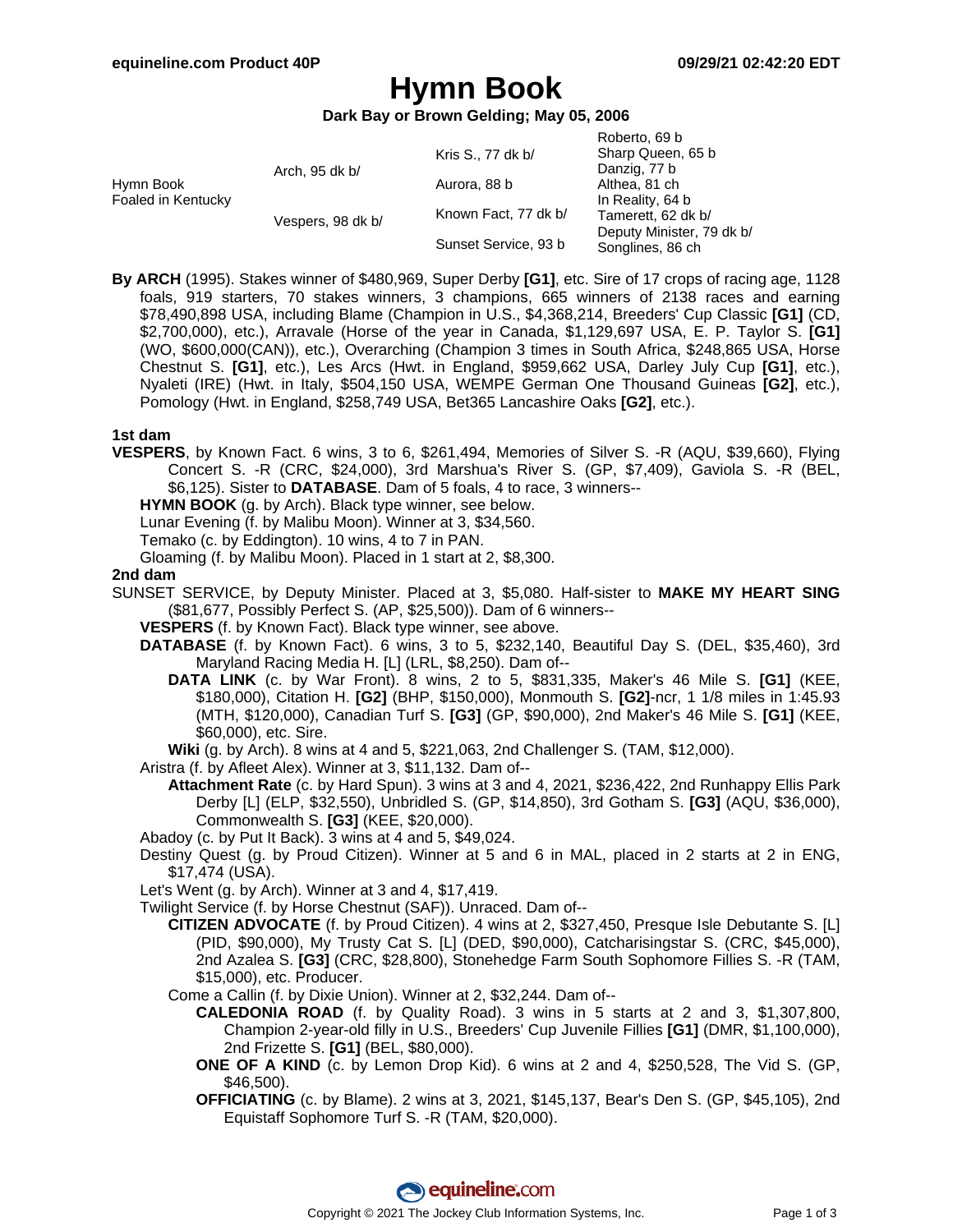Roberto, 69 b

# **Hymn Book**

**Dark Bay or Brown Gelding; May 05, 2006**

|                                 |                   |                      | NUUUIW, UY U              |
|---------------------------------|-------------------|----------------------|---------------------------|
|                                 |                   | Kris S., 77 dk b/    | Sharp Queen, 65 b         |
| Hymn Book<br>Foaled in Kentucky | Arch, 95 dk b/    |                      | Danzig, 77 b              |
|                                 |                   | Aurora, 88 b         | Althea, 81 ch             |
|                                 | Vespers, 98 dk b/ | Known Fact, 77 dk b/ | In Reality, 64 b          |
|                                 |                   |                      | Tamerett, 62 dk b/        |
|                                 |                   | Sunset Service, 93 b | Deputy Minister, 79 dk b/ |
|                                 |                   |                      | Songlines, 86 ch          |
|                                 |                   |                      |                           |

**By ARCH** (1995). Stakes winner of \$480,969, Super Derby **[G1]**, etc. Sire of 17 crops of racing age, 1128 foals, 919 starters, 70 stakes winners, 3 champions, 665 winners of 2138 races and earning \$78,490,898 USA, including Blame (Champion in U.S., \$4,368,214, Breeders' Cup Classic **[G1]** (CD, \$2,700,000), etc.), Arravale (Horse of the year in Canada, \$1,129,697 USA, E. P. Taylor S. **[G1]** (WO, \$600,000(CAN)), etc.), Overarching (Champion 3 times in South Africa, \$248,865 USA, Horse Chestnut S. **[G1]**, etc.), Les Arcs (Hwt. in England, \$959,662 USA, Darley July Cup **[G1]**, etc.), Nyaleti (IRE) (Hwt. in Italy, \$504,150 USA, WEMPE German One Thousand Guineas **[G2]**, etc.), Pomology (Hwt. in England, \$258,749 USA, Bet365 Lancashire Oaks **[G2]**, etc.).

#### **1st dam**

**VESPERS**, by Known Fact. 6 wins, 3 to 6, \$261,494, Memories of Silver S. -R (AQU, \$39,660), Flying Concert S. -R (CRC, \$24,000), 3rd Marshua's River S. (GP, \$7,409), Gaviola S. -R (BEL, \$6,125). Sister to **DATABASE**. Dam of 5 foals, 4 to race, 3 winners--

**HYMN BOOK** (g. by Arch). Black type winner, see below.

Lunar Evening (f. by Malibu Moon). Winner at 3, \$34,560.

Temako (c. by Eddington). 10 wins, 4 to 7 in PAN.

Gloaming (f. by Malibu Moon). Placed in 1 start at 2, \$8,300.

#### **2nd dam**

SUNSET SERVICE, by Deputy Minister. Placed at 3, \$5,080. Half-sister to **MAKE MY HEART SING** (\$81,677, Possibly Perfect S. (AP, \$25,500)). Dam of 6 winners--

**VESPERS** (f. by Known Fact). Black type winner, see above.

- **DATABASE** (f. by Known Fact). 6 wins, 3 to 5, \$232,140, Beautiful Day S. (DEL, \$35,460), 3rd Maryland Racing Media H. [L] (LRL, \$8,250). Dam of--
	- **DATA LINK** (c. by War Front). 8 wins, 2 to 5, \$831,335, Maker's 46 Mile S. **[G1]** (KEE, \$180,000), Citation H. **[G2]** (BHP, \$150,000), Monmouth S. **[G2]**-ncr, 1 1/8 miles in 1:45.93 (MTH, \$120,000), Canadian Turf S. **[G3]** (GP, \$90,000), 2nd Maker's 46 Mile S. **[G1]** (KEE, \$60,000), etc. Sire.

**Wiki** (g. by Arch). 8 wins at 4 and 5, \$221,063, 2nd Challenger S. (TAM, \$12,000).

Aristra (f. by Afleet Alex). Winner at 3, \$11,132. Dam of--

**Attachment Rate** (c. by Hard Spun). 3 wins at 3 and 4, 2021, \$236,422, 2nd Runhappy Ellis Park Derby [L] (ELP, \$32,550), Unbridled S. (GP, \$14,850), 3rd Gotham S. **[G3]** (AQU, \$36,000), Commonwealth S. **[G3]** (KEE, \$20,000).

Abadoy (c. by Put It Back). 3 wins at 4 and 5, \$49,024.

Destiny Quest (g. by Proud Citizen). Winner at 5 and 6 in MAL, placed in 2 starts at 2 in ENG, \$17,474 (USA).

Let's Went (g. by Arch). Winner at 3 and 4, \$17,419.

Twilight Service (f. by Horse Chestnut (SAF)). Unraced. Dam of--

**CITIZEN ADVOCATE** (f. by Proud Citizen). 4 wins at 2, \$327,450, Presque Isle Debutante S. [L] (PID, \$90,000), My Trusty Cat S. [L] (DED, \$90,000), Catcharisingstar S. (CRC, \$45,000), 2nd Azalea S. **[G3]** (CRC, \$28,800), Stonehedge Farm South Sophomore Fillies S. -R (TAM, \$15,000), etc. Producer.

Come a Callin (f. by Dixie Union). Winner at 2, \$32,244. Dam of--

- **CALEDONIA ROAD** (f. by Quality Road). 3 wins in 5 starts at 2 and 3, \$1,307,800, Champion 2-year-old filly in U.S., Breeders' Cup Juvenile Fillies **[G1]** (DMR, \$1,100,000), 2nd Frizette S. **[G1]** (BEL, \$80,000).
- **ONE OF A KIND** (c. by Lemon Drop Kid). 6 wins at 2 and 4, \$250,528, The Vid S. (GP, \$46,500).

**OFFICIATING** (c. by Blame). 2 wins at 3, 2021, \$145,137, Bear's Den S. (GP, \$45,105), 2nd Equistaff Sophomore Turf S. -R (TAM, \$20,000).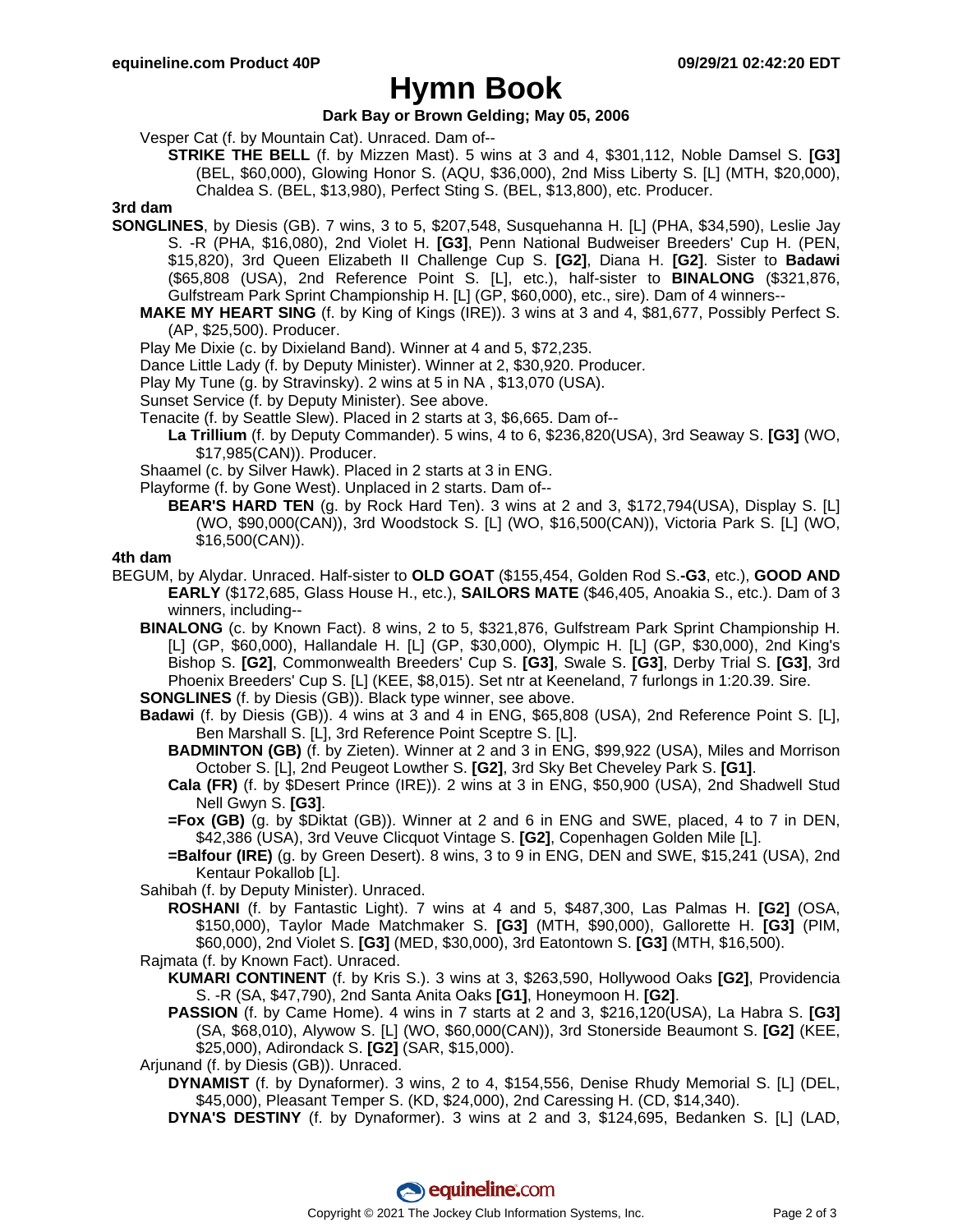## **Hymn Book**

### **Dark Bay or Brown Gelding; May 05, 2006**

Vesper Cat (f. by Mountain Cat). Unraced. Dam of--

**STRIKE THE BELL** (f. by Mizzen Mast). 5 wins at 3 and 4, \$301,112, Noble Damsel S. **[G3]** (BEL, \$60,000), Glowing Honor S. (AQU, \$36,000), 2nd Miss Liberty S. [L] (MTH, \$20,000), Chaldea S. (BEL, \$13,980), Perfect Sting S. (BEL, \$13,800), etc. Producer.

## **3rd dam**

- **SONGLINES**, by Diesis (GB). 7 wins, 3 to 5, \$207,548, Susquehanna H. [L] (PHA, \$34,590), Leslie Jay S. -R (PHA, \$16,080), 2nd Violet H. **[G3]**, Penn National Budweiser Breeders' Cup H. (PEN, \$15,820), 3rd Queen Elizabeth II Challenge Cup S. **[G2]**, Diana H. **[G2]**. Sister to **Badawi** (\$65,808 (USA), 2nd Reference Point S. [L], etc.), half-sister to **BINALONG** (\$321,876, Gulfstream Park Sprint Championship H. [L] (GP, \$60,000), etc., sire). Dam of 4 winners--
	- **MAKE MY HEART SING** (f. by King of Kings (IRE)). 3 wins at 3 and 4, \$81,677, Possibly Perfect S. (AP, \$25,500). Producer.
	- Play Me Dixie (c. by Dixieland Band). Winner at 4 and 5, \$72,235.
	- Dance Little Lady (f. by Deputy Minister). Winner at 2, \$30,920. Producer.
	- Play My Tune (g. by Stravinsky). 2 wins at 5 in NA , \$13,070 (USA).
	- Sunset Service (f. by Deputy Minister). See above.
	- Tenacite (f. by Seattle Slew). Placed in 2 starts at 3, \$6,665. Dam of--
		- **La Trillium** (f. by Deputy Commander). 5 wins, 4 to 6, \$236,820(USA), 3rd Seaway S. **[G3]** (WO, \$17,985(CAN)). Producer.
	- Shaamel (c. by Silver Hawk). Placed in 2 starts at 3 in ENG.
	- Playforme (f. by Gone West). Unplaced in 2 starts. Dam of--
		- **BEAR'S HARD TEN** (g. by Rock Hard Ten). 3 wins at 2 and 3, \$172,794(USA), Display S. [L] (WO, \$90,000(CAN)), 3rd Woodstock S. [L] (WO, \$16,500(CAN)), Victoria Park S. [L] (WO, \$16,500(CAN)).

#### **4th dam**

- BEGUM, by Alydar. Unraced. Half-sister to **OLD GOAT** (\$155,454, Golden Rod S.**-G3**, etc.), **GOOD AND EARLY** (\$172,685, Glass House H., etc.), **SAILORS MATE** (\$46,405, Anoakia S., etc.). Dam of 3 winners, including--
	- **BINALONG** (c. by Known Fact). 8 wins, 2 to 5, \$321,876, Gulfstream Park Sprint Championship H. [L] (GP, \$60,000), Hallandale H. [L] (GP, \$30,000), Olympic H. [L] (GP, \$30,000), 2nd King's Bishop S. **[G2]**, Commonwealth Breeders' Cup S. **[G3]**, Swale S. **[G3]**, Derby Trial S. **[G3]**, 3rd Phoenix Breeders' Cup S. [L] (KEE, \$8,015). Set ntr at Keeneland, 7 furlongs in 1:20.39. Sire.

**SONGLINES** (f. by Diesis (GB)). Black type winner, see above.

- **Badawi** (f. by Diesis (GB)). 4 wins at 3 and 4 in ENG, \$65,808 (USA), 2nd Reference Point S. [L], Ben Marshall S. [L], 3rd Reference Point Sceptre S. [L].
	- **BADMINTON (GB)** (f. by Zieten). Winner at 2 and 3 in ENG, \$99,922 (USA), Miles and Morrison October S. [L], 2nd Peugeot Lowther S. **[G2]**, 3rd Sky Bet Cheveley Park S. **[G1]**.
	- **Cala (FR)** (f. by \$Desert Prince (IRE)). 2 wins at 3 in ENG, \$50,900 (USA), 2nd Shadwell Stud Nell Gwyn S. **[G3]**.
	- **=Fox (GB)** (g. by \$Diktat (GB)). Winner at 2 and 6 in ENG and SWE, placed, 4 to 7 in DEN, \$42,386 (USA), 3rd Veuve Clicquot Vintage S. **[G2]**, Copenhagen Golden Mile [L].
	- **=Balfour (IRE)** (g. by Green Desert). 8 wins, 3 to 9 in ENG, DEN and SWE, \$15,241 (USA), 2nd Kentaur Pokallob [L].

Sahibah (f. by Deputy Minister). Unraced.

- **ROSHANI** (f. by Fantastic Light). 7 wins at 4 and 5, \$487,300, Las Palmas H. **[G2]** (OSA, \$150,000), Taylor Made Matchmaker S. **[G3]** (MTH, \$90,000), Gallorette H. **[G3]** (PIM, \$60,000), 2nd Violet S. **[G3]** (MED, \$30,000), 3rd Eatontown S. **[G3]** (MTH, \$16,500).
- Rajmata (f. by Known Fact). Unraced.
	- **KUMARI CONTINENT** (f. by Kris S.). 3 wins at 3, \$263,590, Hollywood Oaks **[G2]**, Providencia S. -R (SA, \$47,790), 2nd Santa Anita Oaks **[G1]**, Honeymoon H. **[G2]**.
	- **PASSION** (f. by Came Home). 4 wins in 7 starts at 2 and 3, \$216,120(USA), La Habra S. **[G3]** (SA, \$68,010), Alywow S. [L] (WO, \$60,000(CAN)), 3rd Stonerside Beaumont S. **[G2]** (KEE, \$25,000), Adirondack S. **[G2]** (SAR, \$15,000).

Arjunand (f. by Diesis (GB)). Unraced.

- **DYNAMIST** (f. by Dynaformer). 3 wins, 2 to 4, \$154,556, Denise Rhudy Memorial S. [L] (DEL, \$45,000), Pleasant Temper S. (KD, \$24,000), 2nd Caressing H. (CD, \$14,340).
- **DYNA'S DESTINY** (f. by Dynaformer). 3 wins at 2 and 3, \$124,695, Bedanken S. [L] (LAD,